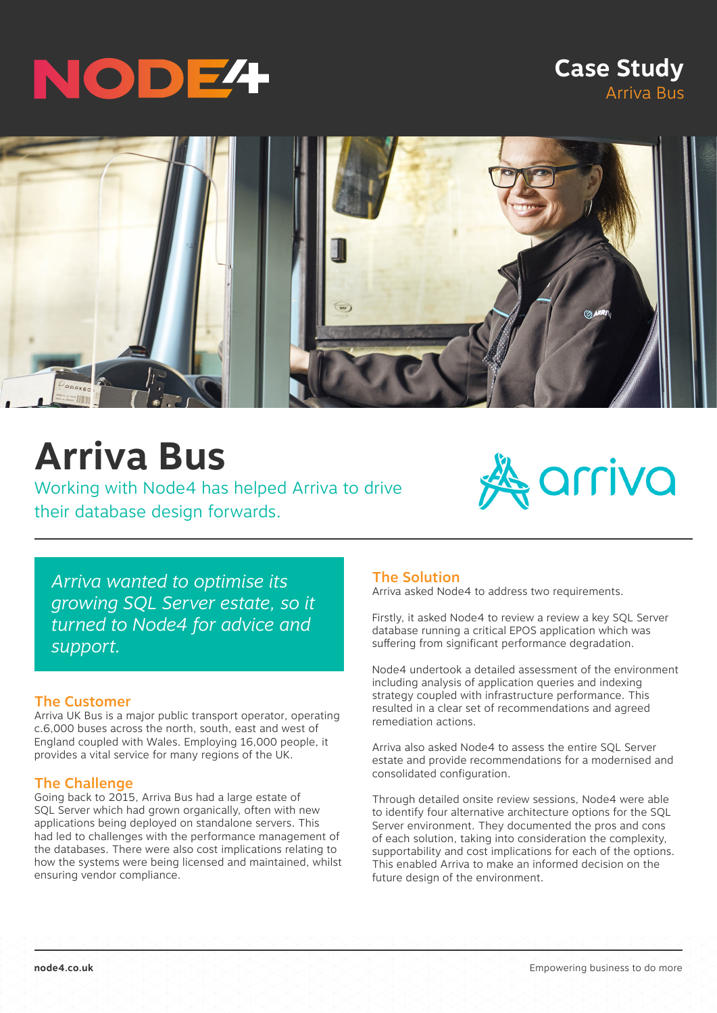# NODE4

### **Case Study** Arriva Bus



## **Arriva Bus**

Working with Node4 has helped Arriva to drive their database design forwards.



*Arriva wanted to optimise its growing SQL Server estate, so it turned to Node4 for advice and support.*

#### The Customer

Arriva UK Bus is a major public transport operator, operating c.6,000 buses across the north, south, east and west of England coupled with Wales. Employing 16,000 people, it provides a vital service for many regions of the UK.

#### The Challenge

Going back to 2015, Arriva Bus had a large estate of SQL Server which had grown organically, often with new applications being deployed on standalone servers. This had led to challenges with the performance management of the databases. There were also cost implications relating to how the systems were being licensed and maintained, whilst ensuring vendor compliance.

#### The Solution

Arriva asked Node4 to address two requirements.

Firstly, it asked Node4 to review a review a key SQL Server database running a critical EPOS application which was suffering from significant performance degradation.

Node4 undertook a detailed assessment of the environment including analysis of application queries and indexing strategy coupled with infrastructure performance. This resulted in a clear set of recommendations and agreed remediation actions.

Arriva also asked Node4 to assess the entire SQL Server estate and provide recommendations for a modernised and consolidated configuration.

Through detailed onsite review sessions, Node4 were able to identify four alternative architecture options for the SQL Server environment. They documented the pros and cons of each solution, taking into consideration the complexity, supportability and cost implications for each of the options. This enabled Arriva to make an informed decision on the future design of the environment.